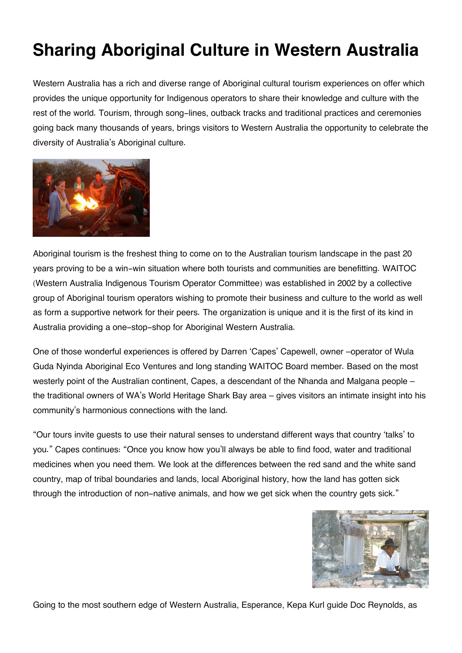## **Sharing Aboriginal Culture in Western Australia**

Western Australia has a rich and diverse range of Aboriginal cultural tourism experiences on offer which provides the unique opportunity for Indigenous operators to share their knowledge and culture with the rest of the world. Tourism, through song-lines, outback tracks and traditional practices and ceremonies going back many thousands of years, brings visitors to Western Australia the opportunity to celebrate the diversity of Australia's Aboriginal culture.



Aboriginal tourism is the freshest thing to come on to the Australian tourism landscape in the past 20 years proving to be a win-win situation where both tourists and communities are benefitting. WAITOC (Western Australia Indigenous Tourism Operator Committee) was established in 2002 by a collective group of Aboriginal tourism operators wishing to promote their business and culture to the world as well as form a supportive network for their peers. The organization is unique and it is the first of its kind in Australia providing a one-stop-shop for Aboriginal Western Australia.

One of those wonderful experiences is offered by Darren 'Capes' Capewell, owner –operator of Wula Guda Nyinda Aboriginal Eco Ventures and long standing WAITOC Board member. Based on the most westerly point of the Australian continent, Capes, a descendant of the Nhanda and Malgana people – the traditional owners of WA's World Heritage Shark Bay area – gives visitors an intimate insight into his community's harmonious connections with the land.

"Our tours invite guests to use their natural senses to understand different ways that country 'talks' to you." Capes continues: "Once you know how you'll always be able to find food, water and traditional medicines when you need them. We look at the differences between the red sand and the white sand country, map of tribal boundaries and lands, local Aboriginal history, how the land has gotten sick through the introduction of non-native animals, and how we get sick when the country gets sick."



Going to the most southern edge of Western Australia, Esperance, Kepa Kurl guide Doc Reynolds, as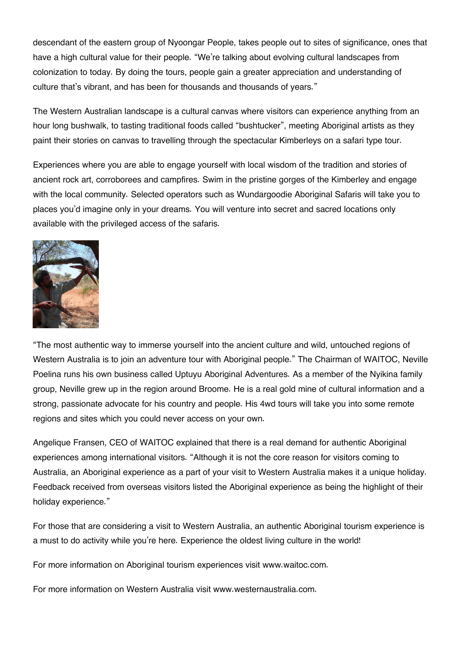descendant of the eastern group of Nyoongar People, takes people out to sites of significance, ones that have a high cultural value for their people. "We're talking about evolving cultural landscapes from colonization to today. By doing the tours, people gain a greater appreciation and understanding of culture that's vibrant, and has been for thousands and thousands of years."

The Western Australian landscape is a cultural canvas where visitors can experience anything from an hour long bushwalk, to tasting traditional foods called "bushtucker", meeting Aboriginal artists as they paint their stories on canvas to travelling through the spectacular Kimberleys on a safari type tour.

Experiences where you are able to engage yourself with local wisdom of the tradition and stories of ancient rock art, corroborees and campfires. Swim in the pristine gorges of the Kimberley and engage with the local community. Selected operators such as Wundargoodie Aboriginal Safaris will take you to places you'd imagine only in your dreams. You will venture into secret and sacred locations only available with the privileged access of the safaris.



"The most authentic way to immerse yourself into the ancient culture and wild, untouched regions of Western Australia is to join an adventure tour with Aboriginal people." The Chairman of WAITOC, Neville Poelina runs his own business called Uptuyu Aboriginal Adventures. As a member of the Nyikina family group, Neville grew up in the region around Broome. He is a real gold mine of cultural information and a strong, passionate advocate for his country and people. His 4wd tours will take you into some remote regions and sites which you could never access on your own.

Angelique Fransen, CEO of WAITOC explained that there is a real demand for authentic Aboriginal experiences among international visitors. "Although it is not the core reason for visitors coming to Australia, an Aboriginal experience as a part of your visit to Western Australia makes it a unique holiday. Feedback received from overseas visitors listed the Aboriginal experience as being the highlight of their holiday experience."

For those that are considering a visit to Western Australia, an authentic Aboriginal tourism experience is a must to do activity while you're here. Experience the oldest living culture in the world!

For more information on Aboriginal tourism experiences visit www.waitoc.com.

For more information on Western Australia visit www.westernaustralia.com.